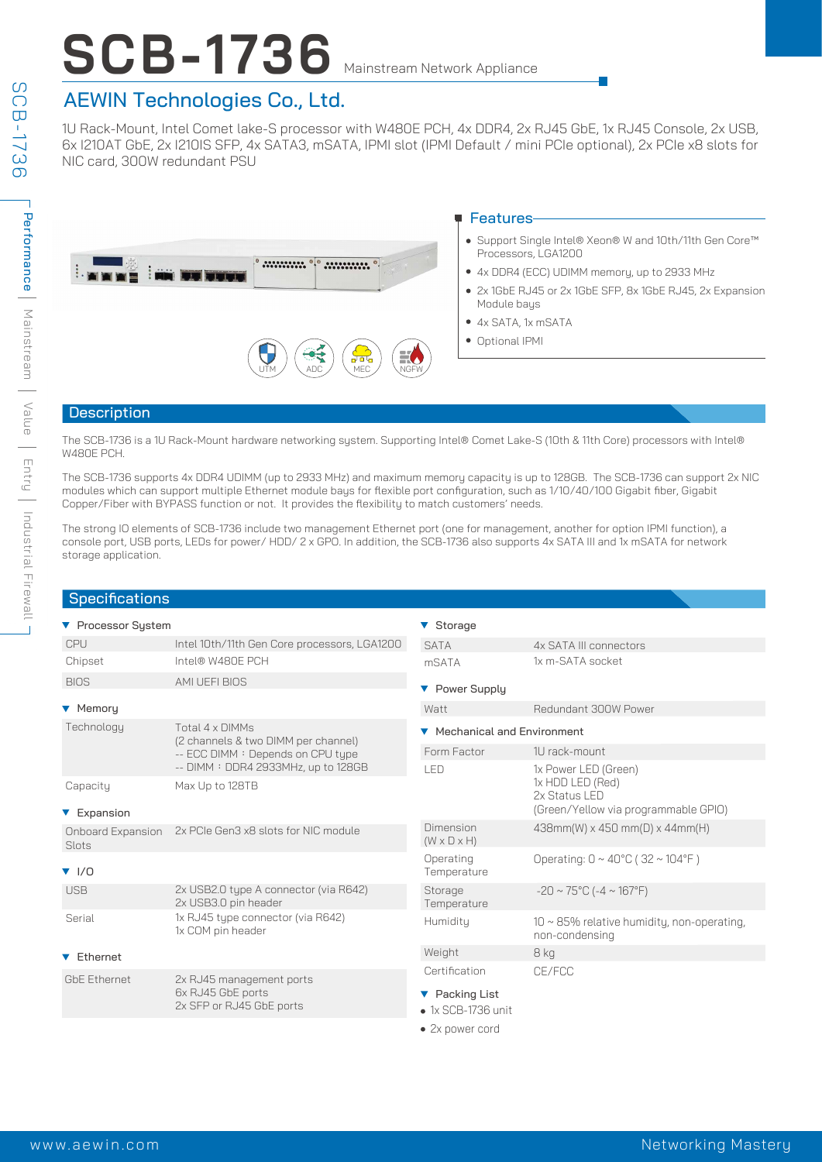# **SCB-1736** Mainstream Network Appliance

# AEWIN Technologies Co., Ltd.

1U Rack-Mount, Intel Comet lake-S processor with W480E PCH, 4x DDR4, 2x RJ45 GbE, 1x RJ45 Console, 2x USB, 6x I210AT GbE, 2x I210IS SFP, 4x SATA3, mSATA, IPMI slot (IPMI Default / mini PCIe optional), 2x PCIe x8 slots for NIC card, 300W redundant PSU

|                                                   | <b>■ Features-</b>                                                             |  |  |
|---------------------------------------------------|--------------------------------------------------------------------------------|--|--|
|                                                   | ● Support Single Intel® Xeon® W and 10th/11th Gen Core™<br>Processors, LGA1200 |  |  |
| $$<br><b>All Commercial Commercial Commercial</b> | • 4x DDR4 (ECC) UDIMM memory, up to 2933 MHz                                   |  |  |
|                                                   | • 2x 1GbE RJ45 or 2x 1GbE SFP, 8x 1GbE RJ45, 2x Expansion<br>Module bays       |  |  |
|                                                   | $\bullet$ 4x SATA, 1x mSATA                                                    |  |  |
| \$\$<br>EÖ<br>NGFW<br><b>ADC</b><br><b>MEC</b>    | • Optional IPMI                                                                |  |  |

#### Description

The SCB-1736 is a 1U Rack-Mount hardware networking system. Supporting Intel® Comet Lake-S (10th & 11th Core) processors with Intel® W480E PCH.

The SCB-1736 supports 4x DDR4 UDIMM (up to 2933 MHz) and maximum memory capacity is up to 128GB. The SCB-1736 can support 2x NIC modules which can support multiple Ethernet module bays for flexible port configuration, such as 1/10/40/100 Gigabit fiber, Gigabit Copper/Fiber with BYPASS function or not. It provides the flexibility to match customers' needs.

The strong IO elements of SCB-1736 include two management Ethernet port (one for management, another for option IPMI function), a console port, USB ports, LEDs for power/ HDD/ 2 x GPO. In addition, the SCB-1736 also supports 4x SATA III and 1x mSATA for network storage application.

| <b>Specifications</b>             |                                                                                                                                    |                                      |                                                                    |
|-----------------------------------|------------------------------------------------------------------------------------------------------------------------------------|--------------------------------------|--------------------------------------------------------------------|
| ▼ Processor System                |                                                                                                                                    | ▼ Storage                            |                                                                    |
| CPU                               | Intel 10th/11th Gen Core processors, LGA1200                                                                                       | <b>SATA</b>                          | 4x SATA III connectors                                             |
| Chipset                           | Intel® W480E PCH                                                                                                                   | mSATA                                | 1x m-SATA socket                                                   |
| <b>BIOS</b>                       | AMI UEFI BIOS                                                                                                                      | ▼ Power Supply                       |                                                                    |
| ▼ Memory                          |                                                                                                                                    | Watt                                 | Redundant 300W Power                                               |
| Technology                        | Total 4 x DIMMs<br>(2 channels & two DIMM per channel)<br>-- ECC DIMM : Depends on CPU type<br>-- DIMM : DDR4 2933MHz, up to 128GB | ▼ Mechanical and Environment         |                                                                    |
|                                   |                                                                                                                                    | Form Factor                          | 1U rack-mount                                                      |
|                                   |                                                                                                                                    | LED                                  | 1x Power LED (Green)                                               |
| Capacity                          | Max Up to 128TB                                                                                                                    |                                      | 1x HDD LED (Red)<br>2x Status LED                                  |
| ▼ Expansion                       |                                                                                                                                    |                                      | (Green/Yellow via programmable GPIO)                               |
| <b>Onboard Expansion</b><br>Slots | 2x PCIe Gen3 x8 slots for NIC module                                                                                               | Dimension<br>$(W \times D \times H)$ | 438mm(W) x 450 mm(D) x 44mm(H)                                     |
| $\blacktriangledown$ 1/0          |                                                                                                                                    | Operating<br>Temperature             | Operating: $0 \sim 40^{\circ}$ C (32 ~ 104°F)                      |
| <b>USB</b>                        | 2x USB2.0 type A connector (via R642)<br>2x USB3.0 pin header                                                                      | Storage<br>Temperature               | $-20 \sim 75^{\circ}$ C (-4 ~ 167°F)                               |
| Serial                            | 1x RJ45 type connector (via R642)<br>1x COM pin header                                                                             | Humidity                             | $10 \sim 85\%$ relative humidity, non-operating,<br>non-condensing |
| ▼ Ethernet                        |                                                                                                                                    | Weight                               | 8 kg                                                               |
| <b>GbE Ethernet</b>               | 2x RJ45 management ports<br>6x RJ45 GbE ports<br>2x SFP or RJ45 GbE ports                                                          | Certification                        | CE/FCC                                                             |
|                                   |                                                                                                                                    | ▼ Packing List                       |                                                                    |
|                                   |                                                                                                                                    | $\bullet$ 1x SCB-1736 unit           |                                                                    |
|                                   |                                                                                                                                    | • 2x power cord                      |                                                                    |